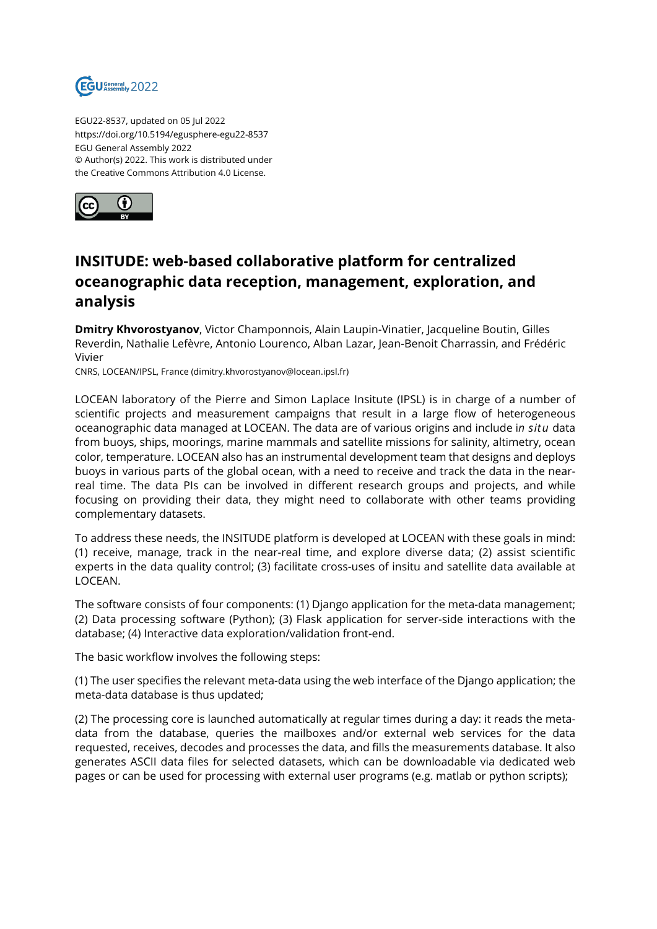

EGU22-8537, updated on 05 Jul 2022 https://doi.org/10.5194/egusphere-egu22-8537 EGU General Assembly 2022 © Author(s) 2022. This work is distributed under the Creative Commons Attribution 4.0 License.



## **INSITUDE: web-based collaborative platform for centralized oceanographic data reception, management, exploration, and analysis**

**Dmitry Khvorostyanov**, Victor Champonnois, Alain Laupin-Vinatier, Jacqueline Boutin, Gilles Reverdin, Nathalie Lefèvre, Antonio Lourenco, Alban Lazar, Jean-Benoit Charrassin, and Frédéric Vivier

CNRS, LOCEAN/IPSL, France (dimitry.khvorostyanov@locean.ipsl.fr)

LOCEAN laboratory of the Pierre and Simon Laplace Insitute (IPSL) is in charge of a number of scientific projects and measurement campaigns that result in a large flow of heterogeneous oceanographic data managed at LOCEAN. The data are of various origins and include i*n situ* data from buoys, ships, moorings, marine mammals and satellite missions for salinity, altimetry, ocean color, temperature. LOCEAN also has an instrumental development team that designs and deploys buoys in various parts of the global ocean, with a need to receive and track the data in the nearreal time. The data PIs can be involved in different research groups and projects, and while focusing on providing their data, they might need to collaborate with other teams providing complementary datasets.

To address these needs, the INSITUDE platform is developed at LOCEAN with these goals in mind: (1) receive, manage, track in the near-real time, and explore diverse data; (2) assist scientific experts in the data quality control; (3) facilitate cross-uses of insitu and satellite data available at LOCEAN.

The software consists of four components: (1) Django application for the meta-data management; (2) Data processing software (Python); (3) Flask application for server-side interactions with the database; (4) Interactive data exploration/validation front-end.

The basic workflow involves the following steps:

(1) The user specifies the relevant meta-data using the web interface of the Django application; the meta-data database is thus updated;

(2) The processing core is launched automatically at regular times during a day: it reads the metadata from the database, queries the mailboxes and/or external web services for the data requested, receives, decodes and processes the data, and fills the measurements database. It also generates ASCII data files for selected datasets, which can be downloadable via dedicated web pages or can be used for processing with external user programs (e.g. matlab or python scripts);